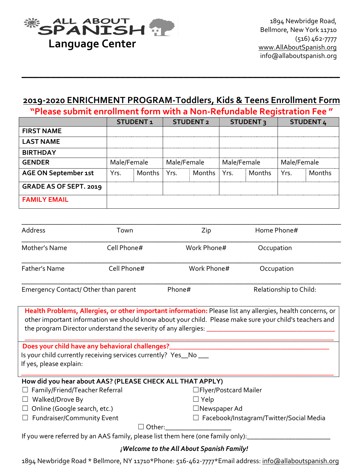

# **2019-2020 ENRICHMENT PROGRAM-Toddlers, Kids & Teens Enrollment Form**

**\_\_\_\_\_\_\_\_\_\_\_\_\_\_\_\_\_\_\_\_\_\_\_\_\_\_\_\_\_\_\_\_\_\_\_\_\_\_\_\_\_\_\_\_\_\_\_\_\_\_\_\_\_\_\_**

**"Please submit enrollment form with a Non-Refundable Registration Fee "** 

|                             | <b>STUDENT1</b> |               | <b>STUDENT 2</b> |        | <b>STUDENT3</b> |        | <b>STUDENT 4</b> |        |
|-----------------------------|-----------------|---------------|------------------|--------|-----------------|--------|------------------|--------|
| <b>FIRST NAME</b>           |                 |               |                  |        |                 |        |                  |        |
| <b>LAST NAME</b>            |                 |               |                  |        |                 |        |                  |        |
| <b>BIRTHDAY</b>             |                 |               |                  |        |                 |        |                  |        |
| <b>GENDER</b>               | Male/Female     |               | Male/Female      |        | Male/Female     |        | Male/Female      |        |
| <b>AGE ON September 1st</b> | Yrs.            | Months   Yrs. |                  | Months | l Yrs.          | Months | Yrs.             | Months |
| GRADE AS OF SEPT. 2019      |                 |               |                  |        |                 |        |                  |        |
| <b>FAMILY EMAIL</b>         |                 |               |                  |        |                 |        |                  |        |

| Address                              | Town        | Zip         | Home Phone#            |  |
|--------------------------------------|-------------|-------------|------------------------|--|
| Mother's Name                        | Cell Phone# | Work Phone# | Occupation             |  |
| Father's Name                        | Cell Phone# | Work Phone# | Occupation             |  |
| Emergency Contact/ Other than parent |             | Phone#      | Relationship to Child: |  |

Health Problems, Allergies, or other important information: Please list any allergies, health concerns, or other important information we should know about your child. Please make sure your child's teachers and the program Director understand the severity of any allergies: \_

**\_\_\_\_\_\_\_\_\_\_\_\_\_\_\_\_\_\_\_\_\_\_\_\_\_\_\_\_\_\_\_\_\_\_\_\_\_\_\_\_\_\_\_\_\_\_\_\_\_\_\_\_\_\_\_\_\_\_\_\_\_\_\_\_\_\_\_\_\_\_\_\_\_\_\_\_\_\_\_\_\_\_\_\_\_\_\_\_\_**

\_\_\_\_\_\_\_\_\_\_\_\_\_\_\_\_\_\_\_\_\_\_\_\_\_\_\_\_\_\_\_\_\_\_\_\_\_\_\_\_\_\_\_\_\_\_\_\_\_\_\_\_\_\_\_\_\_\_\_\_\_\_\_\_\_\_\_\_\_\_\_\_\_\_\_\_\_\_\_\_\_\_\_\_\_\_\_\_\_\_

Does your child have any behavioral challenges?

Is your child currently receiving services currently? Yes\_No \_\_ If yes, please explain:

# How did you hear about AAS? (PLEASE CHECK ALL THAT APPLY)

| $\Box$ Family/Friend/Teacher Referral                                                       | $\Box$ Flyer/Postcard Mailer                   |
|---------------------------------------------------------------------------------------------|------------------------------------------------|
| $\Box$ Walked/Drove By                                                                      | $\Box$ Yelp                                    |
| $\Box$ Online (Google search, etc.)                                                         | $\Box$ Newspaper Ad                            |
| $\Box$ Fundraiser/Community Event                                                           | $\Box$ Facebook/Instagram/Twitter/Social Media |
| $\Box$ Other:                                                                               |                                                |
| If you were referred by an $\Delta\Delta S$ family please list them here (one family only). |                                                |

were referred by an AAS family, please list them here (one family only):\_  $\,$ 

# *¡Welcome to the All About Spanish Family!*

1894 Newbridge Road \* Bellmore, NY 11710\*Phone: 516-462-7777\*Email address: info@allaboutspanish.org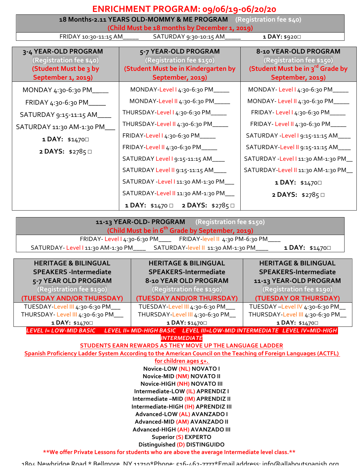|                                               | ENRICHMENT PROGRAM: 09/06/19-06/20/20                                             |                                              |  |  |  |
|-----------------------------------------------|-----------------------------------------------------------------------------------|----------------------------------------------|--|--|--|
|                                               | 18 Months-2.11 YEARS OLD-MOMMY & ME PROGRAM (Registration fee \$40)               |                                              |  |  |  |
| (Child Must be 18 months by December 1, 2019) |                                                                                   |                                              |  |  |  |
| FRIDAY 10:30-11:15 AM                         | SATURDAY 9:30-10:15 AM                                                            | 1 DAY: \$920                                 |  |  |  |
| 3-4 YEAR-OLD PROGRAM                          | 5-7 YEAR-OLD PROGRAM                                                              | 8-10 YEAR-OLD PROGRAM                        |  |  |  |
| (Registration fee \$40)                       | (Registration fee \$150)                                                          | (Registration fee \$150)                     |  |  |  |
| (Student Must be 3 by                         | (Student Must be in Kindergarten by                                               | (Student Must be in 3 <sup>rd</sup> Grade by |  |  |  |
| September 1, 2019)                            | September, 2019)                                                                  | September, 2019)                             |  |  |  |
| MONDAY 4:30-6:30 PM____                       | MONDAY-Level 14:30-6:30 PM_____                                                   | MONDAY-Level 14:30-6:30 PM_____              |  |  |  |
| FRIDAY 4:30-6:30 PM_____                      | MONDAY-Level II 4:30-6:30 PM_____                                                 | MONDAY-Level II 4:30-6:30 PM_____            |  |  |  |
| SATURDAY 9:15-11:15 AM ____                   | THURSDAY-Level   4:30-6:30 PM____                                                 | FRIDAY-Level 14:30-6:30 PM_____              |  |  |  |
| SATURDAY 11:30 AM-1:30 PM                     | THURSDAY-Level II 4:30-6:30 PM_____                                               | FRIDAY-Level II 4:30-6:30 PM_____            |  |  |  |
| 1 DAY: \$14700                                | FRIDAY-Level 14:30-6:30 PM_____                                                   | SATURDAY - Level 1 9:15-11:15 AM____         |  |  |  |
| 2 DAYS: \$2785□                               | FRIDAY-Level II 4:30-6:30 PM____                                                  | SATURDAY-Level II 9:15-11:15 AM____          |  |  |  |
|                                               | SATURDAY Level 1 9:15-11:15 AM____                                                | SATURDAY - Level   11:30 AM-1:30 PM_         |  |  |  |
|                                               | SATURDAY Level II 9:15-11:15 AM____                                               | SATURDAY-Level II 11:30 AM-1:30 PM_          |  |  |  |
|                                               | SATURDAY - Level I 11:30 AM-1:30 PM___                                            | 1 DAY: \$14700                               |  |  |  |
|                                               | SATURDAY-Level II 11:30 AM-1:30 PM___                                             | 2 DAYS: \$2785□                              |  |  |  |
|                                               | 1 DAY: \$1470 0 2 DAYS: \$2785 0                                                  |                                              |  |  |  |
|                                               | 11-13 YEAR-OLD- PROGRAM (Registration fee \$150)                                  |                                              |  |  |  |
|                                               | (Child Must be in 6 <sup>th</sup> Grade by September, 2019)                       |                                              |  |  |  |
|                                               | FRIDAY-Level 14:30-6:30 PM_____ FRIDAY-level II 4:30 PM-6:30 PM_                  |                                              |  |  |  |
|                                               | SATURDAY-Level 1 11:30 AM-1:30 PM_________ SATURDAY-level II 11:30 AM-1:30 PM____ | 1 DAY: \$14700                               |  |  |  |
| <b>HERITAGE &amp; BILINGUAL</b>               | <b>HERITAGE &amp; BILINGUAL</b>                                                   | <b>HERITAGE &amp; BILINGUAL</b>              |  |  |  |
| <b>SPEAKERS</b> - Intermediate                | SPEAKERS-Intermediate                                                             | <b>SPEAKERS-Intermediate</b>                 |  |  |  |
| 5-7 YEAR OLD PROGRAM                          | 8-10 YEAR OLD PROGRAM                                                             | 11-13 YEAR-OLD PROGRAM                       |  |  |  |
| (Registration fee \$190)                      | (Registration fee \$190)                                                          | (Registration fee \$190)                     |  |  |  |
| (TUESDAY AND/OR THURSDAY)                     | (TUESDAY AND/OR THURSDAY)                                                         | (TUESDAY OR THURSDAY)                        |  |  |  |

TUESDAY-Level III 4:30-6:30 PM THURSDAY-Level III 4:30-6:30 PM\_ TUESDAY-Level III 4:30-6:30 PM THURSDAY-Level III 4:30-6:30 PM\_ **1** DAY: \$1470□ TUESDAY -Level IV 4:30-6:30 PM THURSDAY-Level III 4:30-6:30 PM\_ **1** DAY: \$1470□

LEVEL I= LOW-MID BASIC LEVEL II= MID-HIGH BASIC LEVEL III=LOW-MID INTERMEDIATE LEVEL IV=MID-HIGH *INTERMEDIATE*

**STUDENTS EARN REWARDS AS THEY MOVE UP THE LANGUAGE LADDER** 

**1** DAY: \$1470□

**Spanish Proficiency Ladder System According to the American Council on the Teaching of Foreign Languages (ACTFL)** 

for children ages 5+. **Novice-LOW (NL) NOVATO I Novice-MID (NM) NOVATO II Novice-HIGH (NH) NOVATO III Intermediate-LOW (IL) APRENDIZ I Intermediate -MID (IM) APRENDIZ II Intermediate-HIGH (IH) APRENDIZ III Advanced-LOW (AL) AVANZADO I Advanced-MID (AM) AVANZADO II Advanced-HIGH (AH) AVANZADO III Superior (S) EXPERTO**

**Distinguished (D) DISTINGUIDO** \*\*We offer Private Lessons for students who are above the average Intermediate level class.\*\*

1804 Newbridge Road \* Rellmore, NY 11710\*Phone: 516-462-7777\*Email address: info@allaboutspanish.org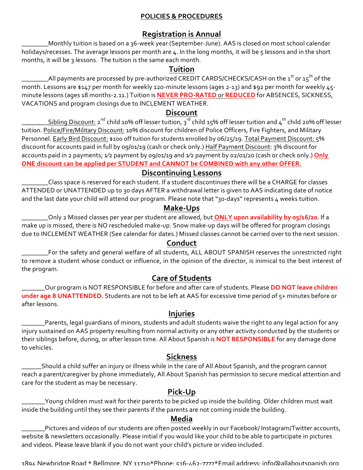#### **POLICIES & PROCEDURES**

# **Registration is Annual**

\_\_\_\_\_\_\_\_Monthly tuition is based on a 36-week year (September-June). AAS is closed on most school calendar holidays/recesses. The average lessons per month are 4. In the long months, it will be 5 lessons and in the short months, it will be 3 lessons. The tuition is the same each month.

#### **Tuition**

\_\_\_\_\_\_\_\_All payments are processed by pre-authorized CREDIT CARDS/CHECKS/CASH on the 1<sup>st</sup> or 15<sup>th</sup> of the month. Lessons are \$147 per month for weekly 120-minute lessons (ages 2-13) and \$92 per month for weekly 45minute lessons (ages 18 months-2.11.) Tuition is **NEVER PRO-RATED** or REDUCED for ABSENCES, SICKNESS, VACATIONS and program closings due to INCLEMENT WEATHER.

#### **Discount**

\_\_\_\_\_\_\_Sibling Discount: 2<sup>nd</sup> child 10% off lesser tuition, 3<sup>rd</sup> child 15% off lesser tuition and 4<sup>th</sup> child 20% off lesser tuition. Police/Fire/Military Discount: 10% discount for children of Police Officers, Fire Fighters, and Military Personnel. Early Bird Discount: \$100 off tuition for students enrolled by 06/25/19. Total Payment Discount: 5% discount for accounts paid in full by 09/01/19 (cash or check only.) Half Payment Discount: 3% discount for accounts paid in 2 payments;  $\sqrt{2}$  payment by 09/01/19 and  $\sqrt{2}$  payment by 02/01/20 (cash or check only.) **Only ONE discount can be applied per STUDENT and CANNOT be COMBINED with any other OFFER.** 

#### **Discontinuing Lessons**

Class space is reserved for each student. If a student discontinues there will be a CHARGE for classes ATTENDED or UNATTENDED up to 30 days AFTER a withdrawal letter is given to AAS indicating date of notice and the last date your child will attend our program. Please note that "30-days" represents 4 weeks tuition.

# **Make-Ups**

\_\_\_\_\_\_\_\_Only 2 Missed classes per year per student are allowed, but **ONLY upon availability by 05/16/20**. If a make up is missed, there is NO rescheduled make-up. Snow make-up days will be offered for program closings due to INCLEMENT WEATHER (See calendar for dates.) Missed classes cannot be carried over to the next session.

#### **Conduct**

For the safety and general welfare of all students, ALL ABOUT SPANISH reserves the unrestricted right to remove a student whose conduct or influence, in the opinion of the director, is inimical to the best interest of the program.

# **Care of Students**

\_\_\_\_\_Our program is NOT RESPONSIBLE for before and after care of students. Please **DO NOT leave children under age 8 UNATTENDED**. Students are not to be left at AAS for excessive time period of 5+ minutes before or after lessons.

### **Injuries**

Parents, legal guardians of minors, students and adult students waive the right to any legal action for any injury sustained on AAS property resulting from normal activity or any other activity conducted by the students or their siblings before, during, or after lesson time. All About Spanish is **NOT RESPONSIBLE** for any damage done to vehicles.

# **Sickness**

Should a child suffer an injury or illness while in the care of All About Spanish, and the program cannot reach a parent/caregiver by phone immediately, All About Spanish has permission to secure medical attention and care for the student as may be necessary.

# **Pick-Up**

 $\_$ Young children must wait for their parents to be picked up inside the building. Older children must wait inside the building until they see their parents if the parents are not coming inside the building.

#### **Media**

Pictures and videos of our students are often posted weekly in our Facebook/ Instagram/Twitter accounts, website & newsletters occasionally. Please initial if you would like your child to be able to participate in pictures and videos. Please leave blank if you do not want your child's picture or video included.

1894. Newbridge Road \* Bellmore, NY 11710\*Phone: 516-462-7777\*Email address: info@allaboutspanish.org